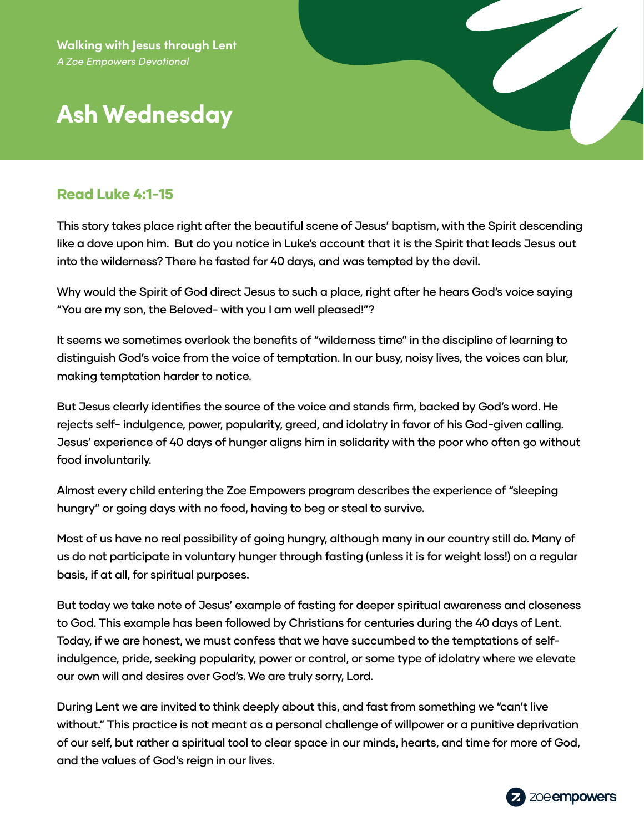# **Ash Wednesday**

#### Read Luke 4:1-15

This story takes place right after the beautiful scene of Jesus' baptism, with the Spirit descending like a dove upon him. But do you notice in Luke's account that it is the Spirit that leads Jesus out into the wilderness? There he fasted for 40 days, and was tempted by the devil.

Why would the Spirit of God direct Jesus to such a place, right after he hears God's voice saying "You are my son, the Beloved- with you I am well pleased!"?

It seems we sometimes overlook the benefits of "wilderness time" in the discipline of learning to distinguish God's voice from the voice of temptation. In our busy, noisy lives, the voices can blur, making temptation harder to notice.

But Jesus clearly identifies the source of the voice and stands firm, backed by God's word. He rejects self- indulgence, power, popularity, greed, and idolatry in favor of his God-given calling. Jesus' experience of 40 days of hunger aligns him in solidarity with the poor who often go without food involuntarily.

Almost every child entering the Zoe Empowers program describes the experience of "sleeping hungry" or going days with no food, having to beg or steal to survive.

Most of us have no real possibility of going hungry, although many in our country still do. Many of us do not participate in voluntary hunger through fasting (unless it is for weight loss!) on a regular basis, if at all, for spiritual purposes.

But today we take note of Jesus' example of fasting for deeper spiritual awareness and closeness to God. This example has been followed by Christians for centuries during the 40 days of Lent. Today, if we are honest, we must confess that we have succumbed to the temptations of selfindulgence, pride, seeking popularity, power or control, or some type of idolatry where we elevate our own will and desires over God's. We are truly sorry, Lord.

During Lent we are invited to think deeply about this, and fast from something we "can't live without." This practice is not meant as a personal challenge of willpower or a punitive deprivation of our self, but rather a spiritual tool to clear space in our minds, hearts, and time for more of God, and the values of God's reign in our lives.

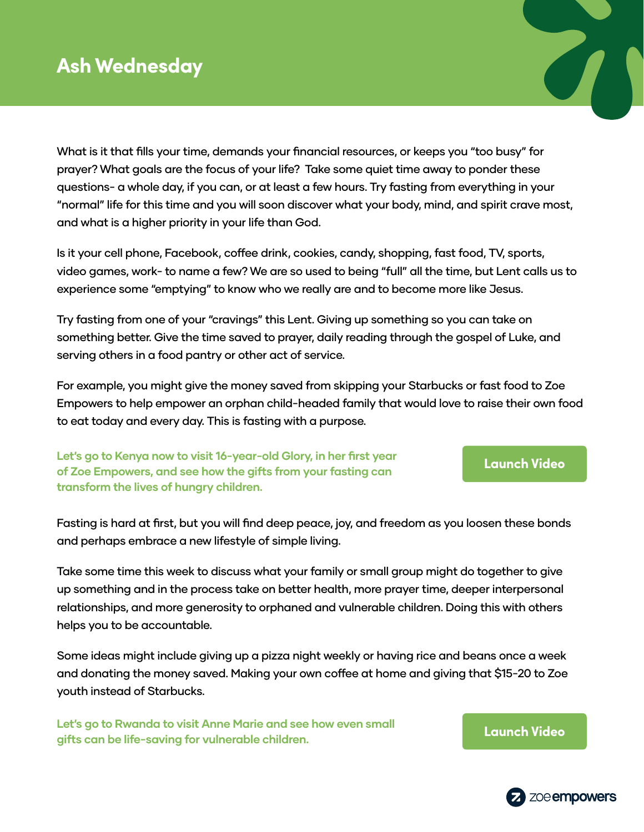# **Ash Wednesday**

What is it that fills your time, demands your financial resources, or keeps you "too busy" for prayer? What goals are the focus of your life? Take some quiet time away to ponder these questions- a whole day, if you can, or at least a few hours. Try fasting from everything in your "normal" life for this time and you will soon discover what your body, mind, and spirit crave most, and what is a higher priority in your life than God.

Is it your cell phone, Facebook, coffee drink, cookies, candy, shopping, fast food, TV, sports, video games, work- to name a few? We are so used to being "full" all the time, but Lent calls us to experience some "emptying" to know who we really are and to become more like Jesus.

Try fasting from one of your "cravings" this Lent. Giving up something so you can take on something better. Give the time saved to prayer, daily reading through the gospel of Luke, and serving others in a food pantry or other act of service.

For example, you might give the money saved from skipping your Starbucks or fast food to Zoe Empowers to help empower an orphan child-headed family that would love to raise their own food to eat today and every day. This is fasting with a purpose.

**Let's go to Kenya now to visit 16-year-old Glory, in her first year of Zoe Empowers, and see how the gifts from your fasting can transform the lives of hungry children.** 

Fasting is hard at first, but you will find deep peace, joy, and freedom as you loosen these bonds and perhaps embrace a new lifestyle of simple living.

Take some time this week to discuss what your family or small group might do together to give up something and in the process take on better health, more prayer time, deeper interpersonal relationships, and more generosity to orphaned and vulnerable children. Doing this with others helps you to be accountable.

Some ideas might include giving up a pizza night weekly or having rice and beans once a week and donating the money saved. Making your own coffee at home and giving that \$15-20 to Zoe youth instead of Starbucks.

**Let's go to Rwanda to visit Anne Marie and see how even small gifts can be life-saving for vulnerable children. [Launch Video](https://zmpw.rs/Anne-Marie)**





**[Launch Video](https://zmpw.rs/Glory)**